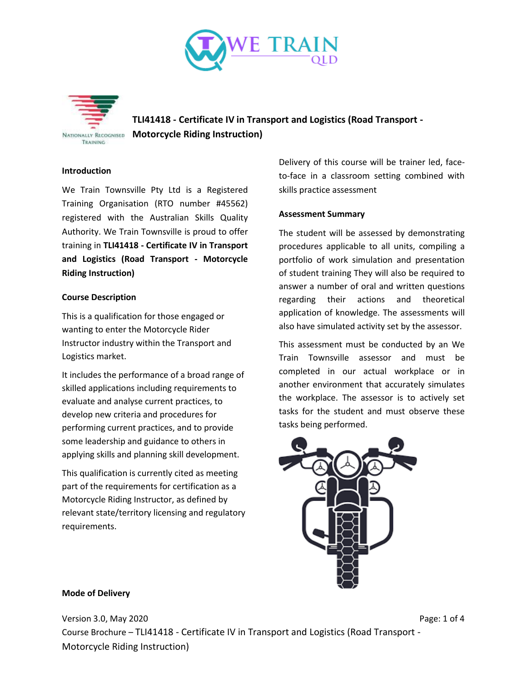



**TLI41418 - Certificate IV in Transport and Logistics (Road Transport - Motorcycle Riding Instruction)**

#### **Introduction**

We Train Townsville Pty Ltd is a Registered Training Organisation (RTO number #45562) registered with the Australian Skills Quality Authority. We Train Townsville is proud to offer training in **TLI41418 - Certificate IV in Transport and Logistics (Road Transport - Motorcycle Riding Instruction)**

#### **Course Description**

This is a qualification for those engaged or wanting to enter the Motorcycle Rider Instructor industry within the Transport and Logistics market.

It includes the performance of a broad range of skilled applications including requirements to evaluate and analyse current practices, to develop new criteria and procedures for performing current practices, and to provide some leadership and guidance to others in applying skills and planning skill development.

This qualification is currently cited as meeting part of the requirements for certification as a Motorcycle Riding Instructor, as defined by relevant state/territory licensing and regulatory requirements.

Delivery of this course will be trainer led, faceto-face in a classroom setting combined with skills practice assessment

#### **Assessment Summary**

The student will be assessed by demonstrating procedures applicable to all units, compiling a portfolio of work simulation and presentation of student training They will also be required to answer a number of oral and written questions regarding their actions and theoretical application of knowledge. The assessments will also have simulated activity set by the assessor.

This assessment must be conducted by an We Train Townsville assessor and must be completed in our actual workplace or in another environment that accurately simulates the workplace. The assessor is to actively set tasks for the student and must observe these tasks being performed.



#### **Mode of Delivery**

Version 3.0, May 2020 **Page: 1 of 4** Course Brochure – TLI41418 - Certificate IV in Transport and Logistics (Road Transport - Motorcycle Riding Instruction)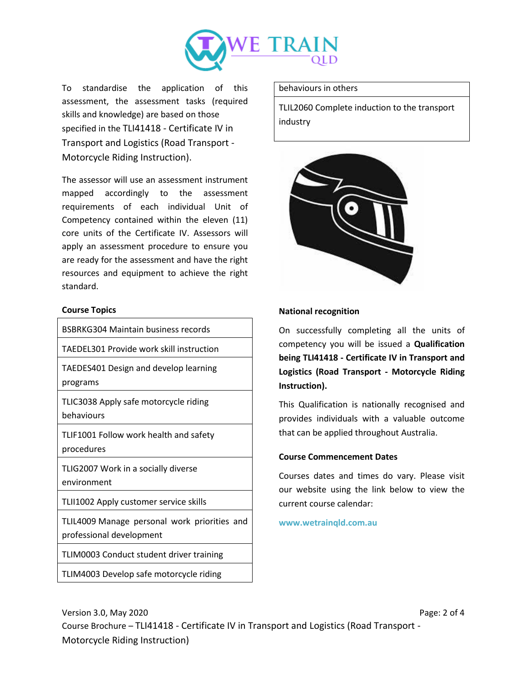

To standardise the application of this assessment, the assessment tasks (required skills and knowledge) are based on those specified in the TLI41418 - Certificate IV in Transport and Logistics (Road Transport - Motorcycle Riding Instruction).

The assessor will use an assessment instrument mapped accordingly to the assessment requirements of each individual Unit of Competency contained within the eleven (11) core units of the Certificate IV. Assessors will apply an assessment procedure to ensure you are ready for the assessment and have the right resources and equipment to achieve the right standard.

## **Course Topics**

BSBRKG304 Maintain business records

TAEDEL301 Provide work skill instruction

TAEDES401 Design and develop learning programs

TLIC3038 Apply safe motorcycle riding behaviours

TLIF1001 Follow work health and safety procedures

TLIG2007 Work in a socially diverse environment

TLII1002 Apply customer service skills

TLIL4009 Manage personal work priorities and professional development

TLIM0003 Conduct student driver training

TLIM4003 Develop safe motorcycle riding

behaviours in others

TLIL2060 Complete induction to the transport industry



## **National recognition**

On successfully completing all the units of competency you will be issued a **Qualification being TLI41418 - Certificate IV in Transport and Logistics (Road Transport - Motorcycle Riding Instruction).**

This Qualification is nationally recognised and provides individuals with a valuable outcome that can be applied throughout Australia.

#### **Course Commencement Dates**

Courses dates and times do vary. Please visit our website using the link below to view the current course calendar:

**www.wetrainqld.com.au**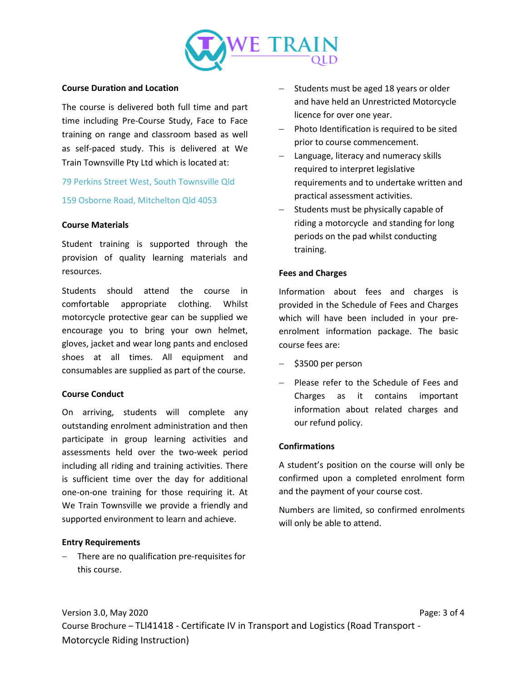

## **Course Duration and Location**

The course is delivered both full time and part time including Pre-Course Study, Face to Face training on range and classroom based as well as self-paced study. This is delivered at We Train Townsville Pty Ltd which is located at:

79 Perkins Street West, South Townsville Qld 159 Osborne Road, Mitchelton Qld 4053

#### **Course Materials**

Student training is supported through the provision of quality learning materials and resources.

Students should attend the course in comfortable appropriate clothing. Whilst motorcycle protective gear can be supplied we encourage you to bring your own helmet, gloves, jacket and wear long pants and enclosed shoes at all times. All equipment and consumables are supplied as part of the course.

## **Course Conduct**

On arriving, students will complete any outstanding enrolment administration and then participate in group learning activities and assessments held over the two-week period including all riding and training activities. There is sufficient time over the day for additional one-on-one training for those requiring it. At We Train Townsville we provide a friendly and supported environment to learn and achieve.

#### **Entry Requirements**

− There are no qualification pre-requisites for this course.

- Students must be aged 18 years or older and have held an Unrestricted Motorcycle licence for over one year.
- Photo Identification is required to be sited prior to course commencement.
- − Language, literacy and numeracy skills required to interpret legislative requirements and to undertake written and practical assessment activities.
- Students must be physically capable of riding a motorcycle and standing for long periods on the pad whilst conducting training.

## **Fees and Charges**

Information about fees and charges is provided in the Schedule of Fees and Charges which will have been included in your preenrolment information package. The basic course fees are:

- − \$3500 per person
- − Please refer to the Schedule of Fees and Charges as it contains important information about related charges and our refund policy.

### **Confirmations**

A student's position on the course will only be confirmed upon a completed enrolment form and the payment of your course cost.

Numbers are limited, so confirmed enrolments will only be able to attend.